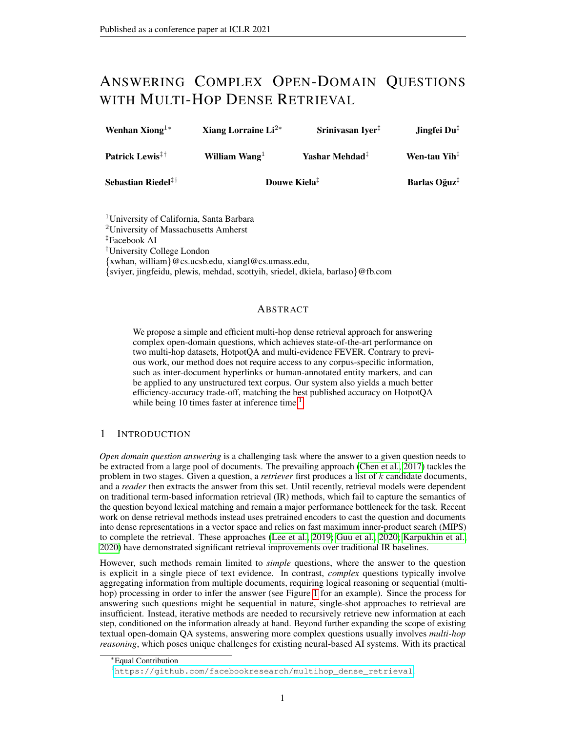# ANSWERING COMPLEX OPEN-DOMAIN QUESTIONS WITH MULTI-HOP DENSE RETRIEVAL

| Wenhan Xiong <sup>1*</sup>  | Xiang Lorraine $Li^{2*}$ | Srinivasan Iyer <sup>1</sup> | Jingfei Du <sup></sup>   |
|-----------------------------|--------------------------|------------------------------|--------------------------|
| Patrick Lewis <sup>!!</sup> | William Wang $1$         | Yashar Mehdad <sup>‡</sup>   | Wen-tau Yih <sup>‡</sup> |
| Sebastian Riedel $\ddagger$ | Douwe Kiela <sup>‡</sup> |                              | Barlas Oğuz <sup>‡</sup> |

<sup>1</sup>University of California, Santa Barbara

<sup>2</sup>University of Massachusetts Amherst

‡Facebook AI

†University College London

{xwhan, william}@cs.ucsb.edu, xiangl@cs.umass.edu,

{sviyer, jingfeidu, plewis, mehdad, scottyih, sriedel, dkiela, barlaso}@fb.com

### ABSTRACT

We propose a simple and efficient multi-hop dense retrieval approach for answering complex open-domain questions, which achieves state-of-the-art performance on two multi-hop datasets, HotpotQA and multi-evidence FEVER. Contrary to previous work, our method does not require access to any corpus-specific information, such as inter-document hyperlinks or human-annotated entity markers, and can be applied to any unstructured text corpus. Our system also yields a much better efficiency-accuracy trade-off, matching the best published accuracy on HotpotQA while being [1](#page-0-0)0 times faster at inference time.<sup>1</sup>

# 1 INTRODUCTION

*Open domain question answering* is a challenging task where the answer to a given question needs to be extracted from a large pool of documents. The prevailing approach [\(Chen et al., 2017\)](#page-9-0) tackles the problem in two stages. Given a question, a *retriever* first produces a list of k candidate documents, and a *reader* then extracts the answer from this set. Until recently, retrieval models were dependent on traditional term-based information retrieval (IR) methods, which fail to capture the semantics of the question beyond lexical matching and remain a major performance bottleneck for the task. Recent work on dense retrieval methods instead uses pretrained encoders to cast the question and documents into dense representations in a vector space and relies on fast maximum inner-product search (MIPS) to complete the retrieval. These approaches [\(Lee et al., 2019;](#page-10-0) [Guu et al., 2020;](#page-9-1) [Karpukhin et al.,](#page-10-1) [2020\)](#page-10-1) have demonstrated significant retrieval improvements over traditional IR baselines.

However, such methods remain limited to *simple* questions, where the answer to the question is explicit in a single piece of text evidence. In contrast, *complex* questions typically involve aggregating information from multiple documents, requiring logical reasoning or sequential (multihop) processing in order to infer the answer (see Figure [1](#page-1-0) for an example). Since the process for answering such questions might be sequential in nature, single-shot approaches to retrieval are insufficient. Instead, iterative methods are needed to recursively retrieve new information at each step, conditioned on the information already at hand. Beyond further expanding the scope of existing textual open-domain QA systems, answering more complex questions usually involves *multi-hop reasoning*, which poses unique challenges for existing neural-based AI systems. With its practical

<sup>∗</sup>Equal Contribution

<span id="page-0-0"></span><sup>1</sup>[https://github.com/facebookresearch/multihop\\_dense\\_retrieval](https://github.com/facebookresearch/multihop_dense_retrieval).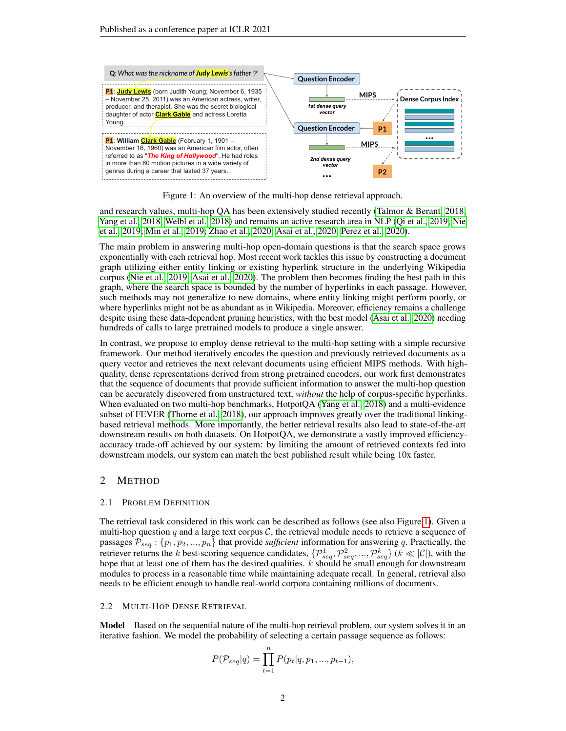

Figure 1: An overview of the multi-hop dense retrieval approach.

<span id="page-1-0"></span>and research values, multi-hop QA has been extensively studied recently [\(Talmor & Berant, 2018;](#page-11-0) [Yang et al., 2018;](#page-11-1) [Welbl et al., 2018\)](#page-11-2) and remains an active research area in NLP [\(Qi et al., 2019;](#page-10-2) [Nie](#page-10-3) [et al., 2019;](#page-10-3) [Min et al., 2019;](#page-10-4) [Zhao et al., 2020;](#page-11-3) [Asai et al., 2020;](#page-9-2) [Perez et al., 2020\)](#page-10-5).

The main problem in answering multi-hop open-domain questions is that the search space grows exponentially with each retrieval hop. Most recent work tackles this issue by constructing a document graph utilizing either entity linking or existing hyperlink structure in the underlying Wikipedia corpus [\(Nie et al., 2019;](#page-10-3) [Asai et al., 2020\)](#page-9-2). The problem then becomes finding the best path in this graph, where the search space is bounded by the number of hyperlinks in each passage. However, such methods may not generalize to new domains, where entity linking might perform poorly, or where hyperlinks might not be as abundant as in Wikipedia. Moreover, efficiency remains a challenge despite using these data-dependent pruning heuristics, with the best model [\(Asai et al., 2020\)](#page-9-2) needing hundreds of calls to large pretrained models to produce a single answer.

In contrast, we propose to employ dense retrieval to the multi-hop setting with a simple recursive framework. Our method iteratively encodes the question and previously retrieved documents as a query vector and retrieves the next relevant documents using efficient MIPS methods. With highquality, dense representations derived from strong pretrained encoders, our work first demonstrates that the sequence of documents that provide sufficient information to answer the multi-hop question can be accurately discovered from unstructured text, *without* the help of corpus-specific hyperlinks. When evaluated on two multi-hop benchmarks, HotpotQA [\(Yang et al., 2018\)](#page-11-1) and a multi-evidence subset of FEVER [\(Thorne et al., 2018\)](#page-11-4), our approach improves greatly over the traditional linkingbased retrieval methods. More importantly, the better retrieval results also lead to state-of-the-art downstream results on both datasets. On HotpotQA, we demonstrate a vastly improved efficiencyaccuracy trade-off achieved by our system: by limiting the amount of retrieved contexts fed into downstream models, our system can match the best published result while being 10x faster.

### 2 METHOD

#### 2.1 PROBLEM DEFINITION

The retrieval task considered in this work can be described as follows (see also Figure [1\)](#page-1-0). Given a multi-hop question  $q$  and a large text corpus  $\mathcal{C}$ , the retrieval module needs to retrieve a sequence of passages  $\mathcal{P}_{seq}$ :  $\{p_1, p_2, ..., p_n\}$  that provide *sufficient* information for answering q. Practically, the retriever returns the k best-scoring sequence candidates,  $\{\mathcal{P}^1_{seq}, \mathcal{P}^2_{seq}, ..., \mathcal{P}^k_{seq}\}$   $(k \ll |\mathcal{C}|)$ , with the hope that at least one of them has the desired qualities.  $k$  should be small enough for downstream modules to process in a reasonable time while maintaining adequate recall. In general, retrieval also needs to be efficient enough to handle real-world corpora containing millions of documents.

#### 2.2 MULTI-HOP DENSE RETRIEVAL

**Model** Based on the sequential nature of the multi-hop retrieval problem, our system solves it in an iterative fashion. We model the probability of selecting a certain passage sequence as follows:

$$
P(\mathcal{P}_{seq}|q) = \prod_{t=1}^{n} P(p_t|q, p_1, ..., p_{t-1}),
$$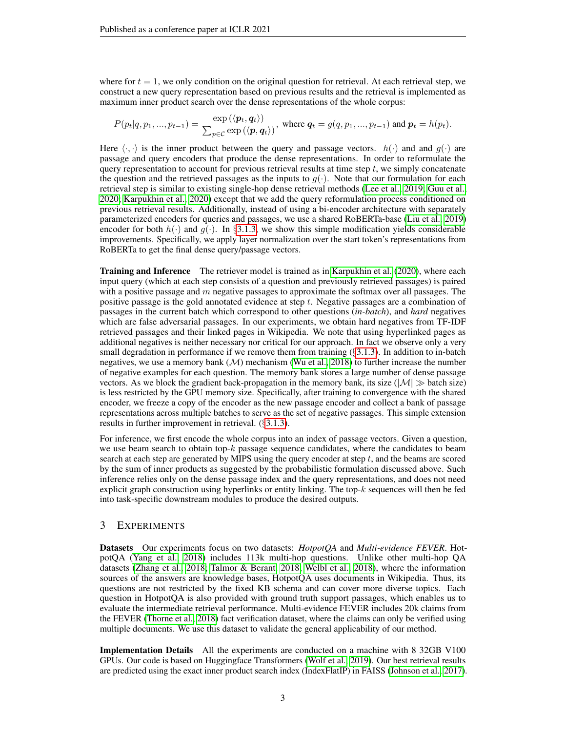where for  $t = 1$ , we only condition on the original question for retrieval. At each retrieval step, we construct a new query representation based on previous results and the retrieval is implemented as maximum inner product search over the dense representations of the whole corpus:

$$
P(p_t|q, p_1, ..., p_{t-1}) = \frac{\exp\left(\langle \boldsymbol{p}_t, \boldsymbol{q}_t \rangle\right)}{\sum_{p \in \mathcal{C}} \exp\left(\langle \boldsymbol{p}, \boldsymbol{q}_t \rangle\right)}, \text{ where } \boldsymbol{q}_t = g(q, p_1, ..., p_{t-1}) \text{ and } \boldsymbol{p}_t = h(p_t).
$$

Here  $\langle \cdot, \cdot \rangle$  is the inner product between the query and passage vectors.  $h(\cdot)$  and and  $g(\cdot)$  are passage and query encoders that produce the dense representations. In order to reformulate the query representation to account for previous retrieval results at time step  $t$ , we simply concatenate the question and the retrieved passages as the inputs to  $g(\cdot)$ . Note that our formulation for each retrieval step is similar to existing single-hop dense retrieval methods [\(Lee et al., 2019;](#page-10-0) [Guu et al.,](#page-9-1) [2020;](#page-9-1) [Karpukhin et al., 2020\)](#page-10-1) except that we add the query reformulation process conditioned on previous retrieval results. Additionally, instead of using a bi-encoder architecture with separately parameterized encoders for queries and passages, we use a shared RoBERTa-base [\(Liu et al., 2019\)](#page-10-6) encoder for both  $h(\cdot)$  and  $g(\cdot)$ . In §[3.1.3,](#page-4-0) we show this simple modification yields considerable improvements. Specifically, we apply layer normalization over the start token's representations from RoBERTa to get the final dense query/passage vectors.

Training and Inference The retriever model is trained as in [Karpukhin et al.](#page-10-1) [\(2020\)](#page-10-1), where each input query (which at each step consists of a question and previously retrieved passages) is paired with a positive passage and  $m$  negative passages to approximate the softmax over all passages. The positive passage is the gold annotated evidence at step t. Negative passages are a combination of passages in the current batch which correspond to other questions (*in-batch*), and *hard* negatives which are false adversarial passages. In our experiments, we obtain hard negatives from TF-IDF retrieved passages and their linked pages in Wikipedia. We note that using hyperlinked pages as additional negatives is neither necessary nor critical for our approach. In fact we observe only a very small degradation in performance if we remove them from training  $(\S 3.1.3)$  $(\S 3.1.3)$ . In addition to in-batch negatives, we use a memory bank  $(M)$  mechanism [\(Wu et al., 2018\)](#page-11-5) to further increase the number of negative examples for each question. The memory bank stores a large number of dense passage vectors. As we block the gradient back-propagation in the memory bank, its size ( $|M| \gg$  batch size) is less restricted by the GPU memory size. Specifically, after training to convergence with the shared encoder, we freeze a copy of the encoder as the new passage encoder and collect a bank of passage representations across multiple batches to serve as the set of negative passages. This simple extension results in further improvement in retrieval. (§[3.1.3\)](#page-4-0).

For inference, we first encode the whole corpus into an index of passage vectors. Given a question, we use beam search to obtain top- $k$  passage sequence candidates, where the candidates to beam search at each step are generated by MIPS using the query encoder at step  $t$ , and the beams are scored by the sum of inner products as suggested by the probabilistic formulation discussed above. Such inference relies only on the dense passage index and the query representations, and does not need explicit graph construction using hyperlinks or entity linking. The top- $k$  sequences will then be fed into task-specific downstream modules to produce the desired outputs.

# 3 EXPERIMENTS

Datasets Our experiments focus on two datasets: *HotpotQA* and *Multi-evidence FEVER*. HotpotQA [\(Yang et al., 2018\)](#page-11-1) includes 113k multi-hop questions. Unlike other multi-hop QA datasets [\(Zhang et al., 2018;](#page-11-6) [Talmor & Berant, 2018;](#page-11-0) [Welbl et al., 2018\)](#page-11-2), where the information sources of the answers are knowledge bases, HotpotQA uses documents in Wikipedia. Thus, its questions are not restricted by the fixed KB schema and can cover more diverse topics. Each question in HotpotQA is also provided with ground truth support passages, which enables us to evaluate the intermediate retrieval performance. Multi-evidence FEVER includes 20k claims from the FEVER [\(Thorne et al., 2018\)](#page-11-4) fact verification dataset, where the claims can only be verified using multiple documents. We use this dataset to validate the general applicability of our method.

Implementation Details All the experiments are conducted on a machine with 8 32GB V100 GPUs. Our code is based on Huggingface Transformers [\(Wolf et al., 2019\)](#page-11-7). Our best retrieval results are predicted using the exact inner product search index (IndexFlatIP) in FAISS [\(Johnson et al., 2017\)](#page-10-7).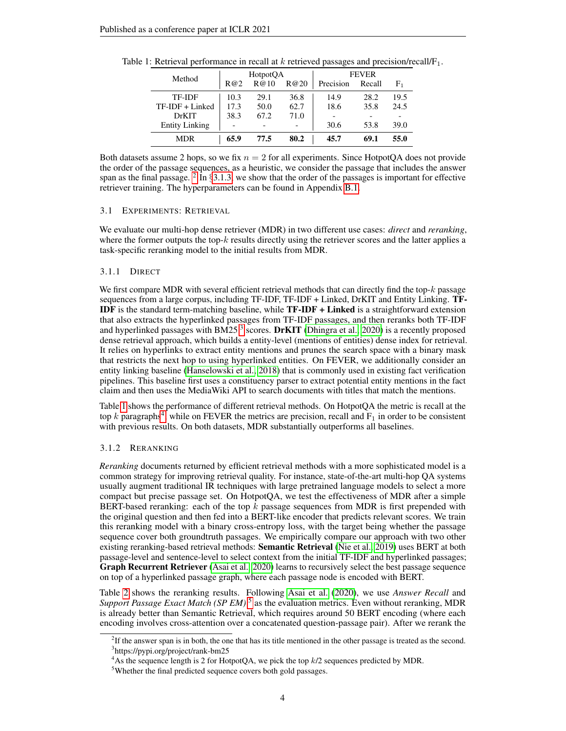| Method                | HotpotQA |      |      | <b>FEVER</b> |        |      |
|-----------------------|----------|------|------|--------------|--------|------|
|                       | R@2      | R@10 | R@20 | Precision    | Recall | F1   |
| TF-IDF                | 10.3     | 29.1 | 36.8 | 14.9         | 28.2   | 19.5 |
| $TF-IDF + Linked$     | 17.3     | 50.0 | 62.7 | 18.6         | 35.8   | 24.5 |
| <b>DrKIT</b>          | 38.3     | 67.2 | 71.0 |              |        |      |
| <b>Entity Linking</b> |          |      |      | 30.6         | 53.8   | 39.0 |
| <b>MDR</b>            | 65.9     | 77.5 | 80.2 | 45.7         | 69.1   | 55.0 |

<span id="page-3-2"></span>Table 1: Retrieval performance in recall at  $k$  retrieved passages and precision/recall/ $F_1$ .

Both datasets assume 2 hops, so we fix  $n = 2$  for all experiments. Since HotpotQA does not provide the order of the passage sequences, as a heuristic, we consider the passage that includes the answer span as the final passage.  $2 \text{ In } \S 3.1.3$  $2 \text{ In } \S 3.1.3$ , we show that the order of the passages is important for effective retriever training. The hyperparameters can be found in Appendix [B.1.](#page-15-0)

#### 3.1 EXPERIMENTS: RETRIEVAL

We evaluate our multi-hop dense retriever (MDR) in two different use cases: *direct* and *reranking*, where the former outputs the top- $k$  results directly using the retriever scores and the latter applies a task-specific reranking model to the initial results from MDR.

#### 3.1.1 DIRECT

We first compare MDR with several efficient retrieval methods that can directly find the top- $k$  passage sequences from a large corpus, including TF-IDF, TF-IDF + Linked, DrKIT and Entity Linking. TF-IDF is the standard term-matching baseline, while TF-IDF + Linked is a straightforward extension that also extracts the hyperlinked passages from TF-IDF passages, and then reranks both TF-IDF and hyperlinked passages with BM25<sup>[3](#page-3-1)</sup> scores. DrKIT [\(Dhingra et al., 2020\)](#page-9-3) is a recently proposed dense retrieval approach, which builds a entity-level (mentions of entities) dense index for retrieval. It relies on hyperlinks to extract entity mentions and prunes the search space with a binary mask that restricts the next hop to using hyperlinked entities. On FEVER, we additionally consider an entity linking baseline [\(Hanselowski et al., 2018\)](#page-9-4) that is commonly used in existing fact verification pipelines. This baseline first uses a constituency parser to extract potential entity mentions in the fact claim and then uses the MediaWiki API to search documents with titles that match the mentions.

Table [1](#page-3-2) shows the performance of different retrieval methods. On HotpotQA the metric is recall at the top k paragraphs<sup>[4](#page-3-3)</sup>, while on FEVER the metrics are precision, recall and  $F_1$  in order to be consistent with previous results. On both datasets, MDR substantially outperforms all baselines.

#### <span id="page-3-5"></span>3.1.2 RERANKING

*Reranking* documents returned by efficient retrieval methods with a more sophisticated model is a common strategy for improving retrieval quality. For instance, state-of-the-art multi-hop QA systems usually augment traditional IR techniques with large pretrained language models to select a more compact but precise passage set. On HotpotQA, we test the effectiveness of MDR after a simple BERT-based reranking: each of the top  $k$  passage sequences from MDR is first prepended with the original question and then fed into a BERT-like encoder that predicts relevant scores. We train this reranking model with a binary cross-entropy loss, with the target being whether the passage sequence cover both groundtruth passages. We empirically compare our approach with two other existing reranking-based retrieval methods: Semantic Retrieval [\(Nie et al., 2019\)](#page-10-3) uses BERT at both passage-level and sentence-level to select context from the initial TF-IDF and hyperlinked passages; Graph Recurrent Retriever [\(Asai et al., 2020\)](#page-9-2) learns to recursively select the best passage sequence on top of a hyperlinked passage graph, where each passage node is encoded with BERT.

Table [2](#page-4-1) shows the reranking results. Following [Asai et al.](#page-9-2) [\(2020\)](#page-9-2), we use *Answer Recall* and Support Passage Exact Match (SP EM)<sup>[5](#page-3-4)</sup> as the evaluation metrics. Even without reranking, MDR is already better than Semantic Retrieval, which requires around 50 BERT encoding (where each encoding involves cross-attention over a concatenated question-passage pair). After we rerank the

<span id="page-3-1"></span><span id="page-3-0"></span><sup>&</sup>lt;sup>2</sup>If the answer span is in both, the one that has its title mentioned in the other passage is treated as the second. 3 https://pypi.org/project/rank-bm25

<span id="page-3-3"></span> $4$ As the sequence length is 2 for HotpotQA, we pick the top  $k/2$  sequences predicted by MDR.

<span id="page-3-4"></span><sup>5</sup>Whether the final predicted sequence covers both gold passages.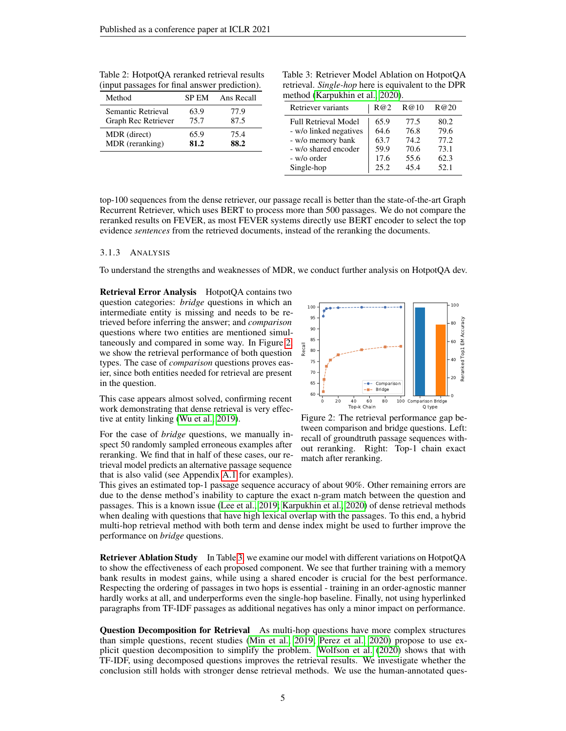| Method              | <b>SP EM</b> | Ans Recall |
|---------------------|--------------|------------|
| Semantic Retrieval  | 63.9         | 77.9       |
| Graph Rec Retriever | 75.7         | 87.5       |
| MDR (direct)        | 65.9         | 75.4       |
| MDR (reranking)     | 81.2         | 88.2       |

<span id="page-4-1"></span>Table 2: HotpotQA reranked retrieval results (input passages for final answer prediction).

<span id="page-4-3"></span>Table 3: Retriever Model Ablation on HotpotQA retrieval. *Single-hop* here is equivalent to the DPR method [\(Karpukhin et al., 2020\)](#page-10-1).

| Retriever variants          | R@2  | R@10  | R@20 |
|-----------------------------|------|-------|------|
| <b>Full Retrieval Model</b> | 65.9 | 77.5  | 80.2 |
| - w/o linked negatives      | 64.6 | 76.8  | 79.6 |
| - w/o memory bank           | 63.7 | 74.2. | 77.2 |
| - w/o shared encoder        | 59.9 | 70.6  | 73.1 |
| - w/o order                 | 17.6 | 55.6  | 62.3 |
| Single-hop                  | 25.2 | 45.4  | 52.1 |

top-100 sequences from the dense retriever, our passage recall is better than the state-of-the-art Graph Recurrent Retriever, which uses BERT to process more than 500 passages. We do not compare the reranked results on FEVER, as most FEVER systems directly use BERT encoder to select the top evidence *sentences* from the retrieved documents, instead of the reranking the documents.

#### <span id="page-4-4"></span>3.1.3 ANALYSIS

To understand the strengths and weaknesses of MDR, we conduct further analysis on HotpotQA dev.

Retrieval Error Analysis HotpotOA contains two question categories: *bridge* questions in which an intermediate entity is missing and needs to be retrieved before inferring the answer; and *comparison* questions where two entities are mentioned simultaneously and compared in some way. In Figure [2,](#page-4-2) we show the retrieval performance of both question types. The case of *comparison* questions proves easier, since both entities needed for retrieval are present in the question.

This case appears almost solved, confirming recent work demonstrating that dense retrieval is very effective at entity linking [\(Wu et al., 2019\)](#page-11-8).

For the case of *bridge* questions, we manually inspect 50 randomly sampled erroneous examples after reranking. We find that in half of these cases, our retrieval model predicts an alternative passage sequence that is also valid (see Appendix [A.1](#page-13-0) for examples).



<span id="page-4-2"></span>Figure 2: The retrieval performance gap between comparison and bridge questions. Left: recall of groundtruth passage sequences without reranking. Right: Top-1 chain exact match after reranking.

This gives an estimated top-1 passage sequence accuracy of about 90%. Other remaining errors are due to the dense method's inability to capture the exact n-gram match between the question and passages. This is a known issue [\(Lee et al., 2019;](#page-10-0) [Karpukhin et al., 2020\)](#page-10-1) of dense retrieval methods when dealing with questions that have high lexical overlap with the passages. To this end, a hybrid multi-hop retrieval method with both term and dense index might be used to further improve the performance on *bridge* questions.

<span id="page-4-0"></span>Retriever Ablation Study In Table [3,](#page-4-3) we examine our model with different variations on HotpotQA to show the effectiveness of each proposed component. We see that further training with a memory bank results in modest gains, while using a shared encoder is crucial for the best performance. Respecting the ordering of passages in two hops is essential - training in an order-agnostic manner hardly works at all, and underperforms even the single-hop baseline. Finally, not using hyperlinked paragraphs from TF-IDF passages as additional negatives has only a minor impact on performance.

Question Decomposition for Retrieval As multi-hop questions have more complex structures than simple questions, recent studies [\(Min et al., 2019;](#page-10-4) [Perez et al., 2020\)](#page-10-5) propose to use explicit question decomposition to simplify the problem. [Wolfson et al.](#page-11-9) [\(2020\)](#page-11-9) shows that with TF-IDF, using decomposed questions improves the retrieval results. We investigate whether the conclusion still holds with stronger dense retrieval methods. We use the human-annotated ques-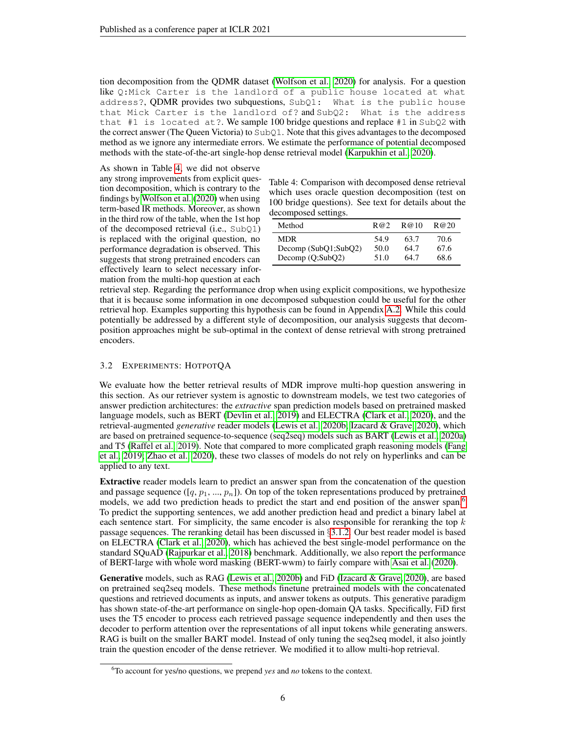tion decomposition from the QDMR dataset [\(Wolfson et al., 2020\)](#page-11-9) for analysis. For a question like Q:Mick Carter is the landlord of a public house located at what address?, QDMR provides two subquestions, SubQ1: What is the public house that Mick Carter is the landlord of? and SubQ2: What is the address that  $#1$  is located at?. We sample 100 bridge questions and replace  $#1$  in SubQ2 with the correct answer (The Queen Victoria) to SubQ1. Note that this gives advantages to the decomposed method as we ignore any intermediate errors. We estimate the performance of potential decomposed methods with the state-of-the-art single-hop dense retrieval model [\(Karpukhin et al., 2020\)](#page-10-1).

As shown in Table [4,](#page-5-0) we did not observe any strong improvements from explicit question decomposition, which is contrary to the findings by [Wolfson et al.](#page-11-9) [\(2020\)](#page-11-9) when using term-based IR methods. Moreover, as shown in the third row of the table, when the 1st hop of the decomposed retrieval (i.e., SubQ1) is replaced with the original question, no performance degradation is observed. This suggests that strong pretrained encoders can effectively learn to select necessary information from the multi-hop question at each

<span id="page-5-0"></span>

| Table 4: Comparison with decomposed dense retrieval   |
|-------------------------------------------------------|
| which uses oracle question decomposition (test on     |
| 100 bridge questions). See text for details about the |
| decomposed settings.                                  |

| Method               | R@2  | R@10 | R@20 |
|----------------------|------|------|------|
| <b>MDR</b>           | 54.9 | 63.7 | 70.6 |
| Decomp (SubQ1;SubQ2) | 50.0 | 64.7 | 67.6 |
| Decomp $(Q;SubQ2)$   | 51.0 | 64.7 | 68.6 |

retrieval step. Regarding the performance drop when using explicit compositions, we hypothesize that it is because some information in one decomposed subquestion could be useful for the other retrieval hop. Examples supporting this hypothesis can be found in Appendix [A.2.](#page-14-0) While this could potentially be addressed by a different style of decomposition, our analysis suggests that decomposition approaches might be sub-optimal in the context of dense retrieval with strong pretrained encoders.

#### <span id="page-5-2"></span>3.2 EXPERIMENTS: HOTPOTQA

We evaluate how the better retrieval results of MDR improve multi-hop question answering in this section. As our retriever system is agnostic to downstream models, we test two categories of answer prediction architectures: the *extractive* span prediction models based on pretrained masked language models, such as BERT [\(Devlin et al., 2019\)](#page-9-5) and ELECTRA [\(Clark et al., 2020\)](#page-9-6), and the retrieval-augmented *generative* reader models [\(Lewis et al., 2020b;](#page-10-8) [Izacard & Grave, 2020\)](#page-9-7), which are based on pretrained sequence-to-sequence (seq2seq) models such as BART [\(Lewis et al., 2020a\)](#page-10-9) and T5 [\(Raffel et al., 2019\)](#page-10-10). Note that compared to more complicated graph reasoning models [\(Fang](#page-9-8) [et al., 2019;](#page-9-8) [Zhao et al., 2020\)](#page-11-3), these two classes of models do not rely on hyperlinks and can be applied to any text.

Extractive reader models learn to predict an answer span from the concatenation of the question and passage sequence  $([q, p_1, ..., p_n])$ . On top of the token representations produced by pretrained models, we add two prediction heads to predict the start and end position of the answer span.<sup>[6](#page-5-1)</sup> To predict the supporting sentences, we add another prediction head and predict a binary label at each sentence start. For simplicity, the same encoder is also responsible for reranking the top  $k$ passage sequences. The reranking detail has been discussed in §[3.1.2.](#page-3-5) Our best reader model is based on ELECTRA [\(Clark et al., 2020\)](#page-9-6), which has achieved the best single-model performance on the standard SQuAD [\(Rajpurkar et al., 2018\)](#page-10-11) benchmark. Additionally, we also report the performance of BERT-large with whole word masking (BERT-wwm) to fairly compare with [Asai et al.](#page-9-2) [\(2020\)](#page-9-2).

Generative models, such as RAG [\(Lewis et al., 2020b\)](#page-10-8) and FiD [\(Izacard & Grave, 2020\)](#page-9-7), are based on pretrained seq2seq models. These methods finetune pretrained models with the concatenated questions and retrieved documents as inputs, and answer tokens as outputs. This generative paradigm has shown state-of-the-art performance on single-hop open-domain QA tasks. Specifically, FiD first uses the T5 encoder to process each retrieved passage sequence independently and then uses the decoder to perform attention over the representations of all input tokens while generating answers. RAG is built on the smaller BART model. Instead of only tuning the seq2seq model, it also jointly train the question encoder of the dense retriever. We modified it to allow multi-hop retrieval.

<span id="page-5-1"></span><sup>6</sup>To account for yes/no questions, we prepend *yes* and *no* tokens to the context.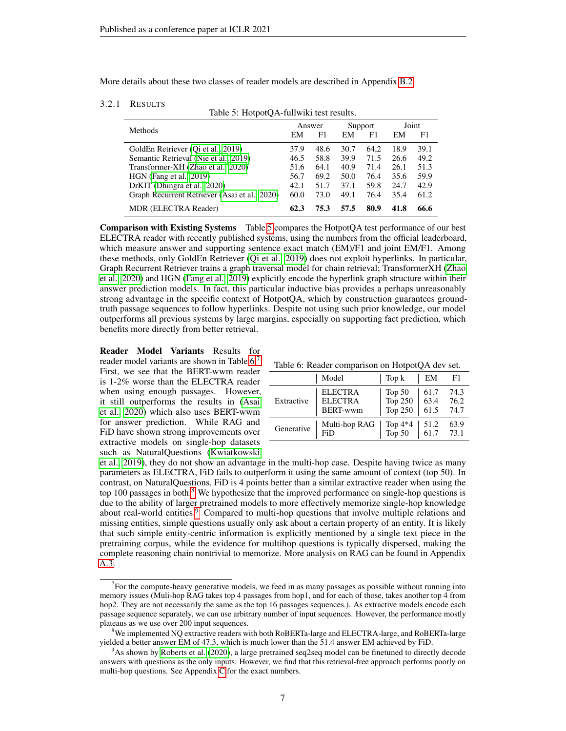More details about these two classes of reader models are described in Appendix [B.2.](#page-16-0)

#### <span id="page-6-0"></span>3.2.1 RESULTS

Table 5: HotpotQA-fullwiki test results.

| <b>Methods</b>                                |      | Answer |      | Support |      | Joint |  |
|-----------------------------------------------|------|--------|------|---------|------|-------|--|
|                                               | EM   | F1     | EM   | F1      | EМ   | F1    |  |
| GoldEn Retriever (Qi et al., 2019)            | 37.9 | 48.6   | 30.7 | 64.2    | 18.9 | 39.1  |  |
| Semantic Retrieval (Nie et al., 2019)         | 46.5 | 58.8   | 39.9 | 71.5    | 26.6 | 49.2  |  |
| Transformer-XH (Zhao et al., 2020)            | 51.6 | 64.1   | 40.9 | 71.4    | 26.1 | 51.3  |  |
| $HGN$ (Fang et al., 2019)                     | 56.7 | 69.2   | 50.0 | 76.4    | 35.6 | 59.9  |  |
| DrKIT (Dhingra et al., 2020)                  | 42.1 | 51.7   | 37.1 | 59.8    | 24.7 | 42.9  |  |
| Graph Recurrent Retriever (Asai et al., 2020) | 60.0 | 73.0   | 49.1 | 76.4    | 35.4 | 61.2  |  |
| <b>MDR (ELECTRA Reader)</b>                   | 62.3 | 75.3   | 57.5 | 80.9    | 41.8 | 66.6  |  |

Comparison with Existing Systems Table [5](#page-6-0) compares the HotpotQA test performance of our best ELECTRA reader with recently published systems, using the numbers from the official leaderboard, which measure answer and supporting sentence exact match (EM)/F1 and joint EM/F1. Among these methods, only GoldEn Retriever [\(Qi et al., 2019\)](#page-10-2) does not exploit hyperlinks. In particular, Graph Recurrent Retriever trains a graph traversal model for chain retrieval; TransformerXH [\(Zhao](#page-11-3) [et al., 2020\)](#page-11-3) and HGN [\(Fang et al., 2019\)](#page-9-8) explicitly encode the hyperlink graph structure within their answer prediction models. In fact, this particular inductive bias provides a perhaps unreasonably strong advantage in the specific context of HotpotQA, which by construction guarantees groundtruth passage sequences to follow hyperlinks. Despite not using such prior knowledge, our model outperforms all previous systems by large margins, especially on supporting fact prediction, which benefits more directly from better retrieval.

<span id="page-6-5"></span>Reader Model Variants Results for reader model variants are shown in Table [6.](#page-6-1)<sup>[7](#page-6-2)</sup> First, we see that the BERT-wwm reader is 1-2% worse than the ELECTRA reader when using enough passages. However, it still outperforms the results in [\(Asai](#page-9-2) [et al., 2020\)](#page-9-2) which also uses BERT-wwm for answer prediction. While RAG and FiD have shown strong improvements over extractive models on single-hop datasets such as NaturalQuestions [\(Kwiatkowski](#page-10-12)

<span id="page-6-1"></span>

|  |  | Table 6: Reader comparison on HotpotQA dev set. |
|--|--|-------------------------------------------------|
|  |  |                                                 |

|            | Model                                               | Top k                            | EM                   | F1                   |
|------------|-----------------------------------------------------|----------------------------------|----------------------|----------------------|
| Extractive | <b>ELECTRA</b><br><b>ELECTRA</b><br><b>BERT-wwm</b> | Top $50$<br>Top $250$<br>Top 250 | 61.7<br>63.4<br>61.5 | 74.3<br>76.2<br>74.7 |
| Generative | Multi-hop RAG<br>FiD                                | Top 4*4<br>Top 50                | 51.2<br>61.7         | 63.9<br>73.1         |

[et al., 2019\)](#page-10-12), they do not show an advantage in the multi-hop case. Despite having twice as many parameters as ELECTRA, FiD fails to outperform it using the same amount of context (top 50). In contrast, on NaturalQuestions, FiD is 4 points better than a similar extractive reader when using the top 100 passages in both. $8$  We hypothesize that the improved performance on single-hop questions is due to the ability of larger pretrained models to more effectively memorize single-hop knowledge about real-world entities.<sup>[9](#page-6-4)</sup> Compared to multi-hop questions that involve multiple relations and missing entities, simple questions usually only ask about a certain property of an entity. It is likely that such simple entity-centric information is explicitly mentioned by a single text piece in the pretraining corpus, while the evidence for multihop questions is typically dispersed, making the complete reasoning chain nontrivial to memorize. More analysis on RAG can be found in Appendix [A.3.](#page-15-1)

<span id="page-6-2"></span><sup>&</sup>lt;sup>7</sup> For the compute-heavy generative models, we feed in as many passages as possible without running into memory issues (Muli-hop RAG takes top 4 passages from hop1, and for each of those, takes another top 4 from hop2. They are not necessarily the same as the top 16 passages sequences.). As extractive models encode each passage sequence separately, we can use arbitrary number of input sequences. However, the performance mostly plateaus as we use over 200 input sequences.

<span id="page-6-3"></span><sup>8</sup>We implemented NQ extractive readers with both RoBERTa-large and ELECTRA-large, and RoBERTa-large yielded a better answer EM of 47.3, which is much lower than the 51.4 answer EM achieved by FiD.

<span id="page-6-4"></span><sup>9</sup>As shown by [Roberts et al.](#page-11-10) [\(2020\)](#page-11-10), a large pretrained seq2seq model can be finetuned to directly decode answers with questions as the only inputs. However, we find that this retrieval-free approach performs poorly on multi-hop questions. See Appendix [C](#page-17-0) for the exact numbers.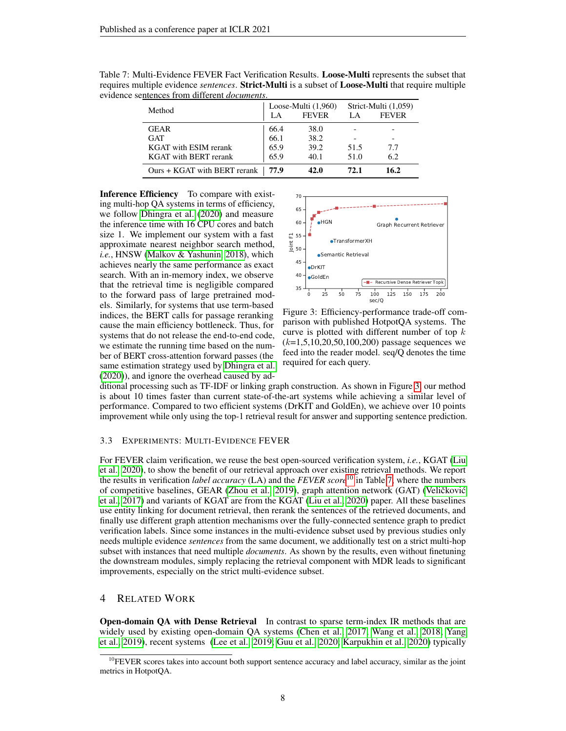| Method                       |       | Loose-Multi $(1,960)$<br><b>FEVER</b><br>LA. |      | Strict-Multi (1,059)<br><b>FEVER</b> |
|------------------------------|-------|----------------------------------------------|------|--------------------------------------|
| <b>GEAR</b>                  | 66.4  |                                              | LA.  |                                      |
| <b>GAT</b>                   | 66.1  | 38.0<br>38.2                                 |      |                                      |
|                              |       |                                              |      |                                      |
| <b>KGAT</b> with ESIM rerank | 65.9  | 39.2                                         | 51.5 | 7.7                                  |
| <b>KGAT</b> with BERT rerank | 65.9  | 40.1                                         | 51.0 | 6.2                                  |
| Ours + KGAT with BERT rerank | -77.9 | 42.0                                         | 72.1 | 16.2                                 |

<span id="page-7-2"></span>Table 7: Multi-Evidence FEVER Fact Verification Results. Loose-Multi represents the subset that requires multiple evidence *sentences*. Strict-Multi is a subset of Loose-Multi that require multiple evidence sentences from different *documents*.

Inference Efficiency To compare with existing multi-hop QA systems in terms of efficiency, we follow [Dhingra et al.](#page-9-3) [\(2020\)](#page-9-3) and measure the inference time with 16 CPU cores and batch size 1. We implement our system with a fast approximate nearest neighbor search method, *i.e.*, HNSW [\(Malkov & Yashunin, 2018\)](#page-10-13), which achieves nearly the same performance as exact search. With an in-memory index, we observe that the retrieval time is negligible compared to the forward pass of large pretrained models. Similarly, for systems that use term-based indices, the BERT calls for passage reranking cause the main efficiency bottleneck. Thus, for systems that do not release the end-to-end code, we estimate the running time based on the number of BERT cross-attention forward passes (the same estimation strategy used by [Dhingra et al.](#page-9-3) [\(2020\)](#page-9-3)), and ignore the overhead caused by ad-



<span id="page-7-0"></span>Figure 3: Efficiency-performance trade-off comparison with published HotpotQA systems. The curve is plotted with different number of top  $k$  $(k=1, 5, 10, 20, 50, 100, 200)$  passage sequences we feed into the reader model. seq/Q denotes the time required for each query.

ditional processing such as TF-IDF or linking graph construction. As shown in Figure [3,](#page-7-0) our method is about 10 times faster than current state-of-the-art systems while achieving a similar level of performance. Compared to two efficient systems (DrKIT and GoldEn), we achieve over 10 points improvement while only using the top-1 retrieval result for answer and supporting sentence prediction.

#### 3.3 EXPERIMENTS: MULTI-EVIDENCE FEVER

For FEVER claim verification, we reuse the best open-sourced verification system, *i.e.*, KGAT [\(Liu](#page-10-14) [et al., 2020\)](#page-10-14), to show the benefit of our retrieval approach over existing retrieval methods. We report the results in verification *label accuracy* (LA) and the *FEVER score*[10](#page-7-1) in Table [7,](#page-7-2) where the numbers of competitive baselines, GEAR [\(Zhou et al., 2019\)](#page-12-0), graph attention network (GAT) (Veličković [et al., 2017\)](#page-11-11) and variants of KGAT are from the KGAT [\(Liu et al., 2020\)](#page-10-14) paper. All these baselines use entity linking for document retrieval, then rerank the sentences of the retrieved documents, and finally use different graph attention mechanisms over the fully-connected sentence graph to predict verification labels. Since some instances in the multi-evidence subset used by previous studies only needs multiple evidence *sentences* from the same document, we additionally test on a strict multi-hop subset with instances that need multiple *documents*. As shown by the results, even without finetuning the downstream modules, simply replacing the retrieval component with MDR leads to significant improvements, especially on the strict multi-evidence subset.

# 4 RELATED WORK

Open-domain QA with Dense Retrieval In contrast to sparse term-index IR methods that are widely used by existing open-domain QA systems [\(Chen et al., 2017;](#page-9-0) [Wang et al., 2018;](#page-11-12) [Yang](#page-11-13) [et al., 2019\)](#page-11-13), recent systems [\(Lee et al., 2019;](#page-10-0) [Guu et al., 2020;](#page-9-1) [Karpukhin et al., 2020\)](#page-10-1) typically

<span id="page-7-1"></span> $10$ FEVER scores takes into account both support sentence accuracy and label accuracy, similar as the joint metrics in HotpotQA.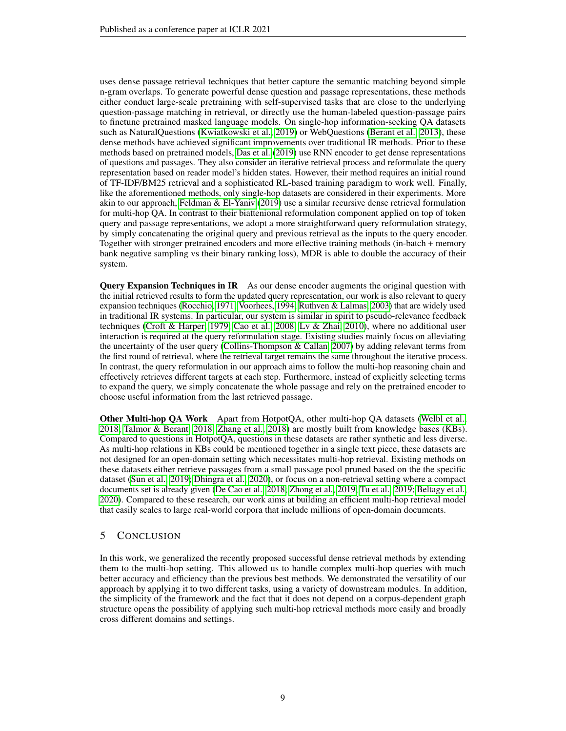uses dense passage retrieval techniques that better capture the semantic matching beyond simple n-gram overlaps. To generate powerful dense question and passage representations, these methods either conduct large-scale pretraining with self-supervised tasks that are close to the underlying question-passage matching in retrieval, or directly use the human-labeled question-passage pairs to finetune pretrained masked language models. On single-hop information-seeking QA datasets such as NaturalQuestions [\(Kwiatkowski et al., 2019\)](#page-10-12) or WebQuestions [\(Berant et al., 2013\)](#page-9-9), these dense methods have achieved significant improvements over traditional IR methods. Prior to these methods based on pretrained models, [Das et al.](#page-9-10) [\(2019\)](#page-9-10) use RNN encoder to get dense representations of questions and passages. They also consider an iterative retrieval process and reformulate the query representation based on reader model's hidden states. However, their method requires an initial round of TF-IDF/BM25 retrieval and a sophisticated RL-based training paradigm to work well. Finally, like the aforementioned methods, only single-hop datasets are considered in their experiments. More akin to our approach, [Feldman & El-Yaniv](#page-9-11) [\(2019\)](#page-9-11) use a similar recursive dense retrieval formulation for multi-hop QA. In contrast to their biattenional reformulation component applied on top of token query and passage representations, we adopt a more straightforward query reformulation strategy, by simply concatenating the original query and previous retrieval as the inputs to the query encoder. Together with stronger pretrained encoders and more effective training methods (in-batch + memory bank negative sampling vs their binary ranking loss), MDR is able to double the accuracy of their system.

Query Expansion Techniques in IR As our dense encoder augments the original question with the initial retrieved results to form the updated query representation, our work is also relevant to query expansion techniques [\(Rocchio, 1971;](#page-11-14) [Voorhees, 1994;](#page-11-15) [Ruthven & Lalmas, 2003\)](#page-11-16) that are widely used in traditional IR systems. In particular, our system is similar in spirit to pseudo-relevance feedback techniques [\(Croft & Harper, 1979;](#page-9-12) [Cao et al., 2008;](#page-9-13) [Lv & Zhai, 2010\)](#page-10-15), where no additional user interaction is required at the query reformulation stage. Existing studies mainly focus on alleviating the uncertainty of the user query [\(Collins-Thompson & Callan, 2007\)](#page-9-14) by adding relevant terms from the first round of retrieval, where the retrieval target remains the same throughout the iterative process. In contrast, the query reformulation in our approach aims to follow the multi-hop reasoning chain and effectively retrieves different targets at each step. Furthermore, instead of explicitly selecting terms to expand the query, we simply concatenate the whole passage and rely on the pretrained encoder to choose useful information from the last retrieved passage.

Other Multi-hop QA Work Apart from HotpotQA, other multi-hop QA datasets [\(Welbl et al.,](#page-11-2) [2018;](#page-11-2) [Talmor & Berant, 2018;](#page-11-0) [Zhang et al., 2018\)](#page-11-6) are mostly built from knowledge bases (KBs). Compared to questions in HotpotQA, questions in these datasets are rather synthetic and less diverse. As multi-hop relations in KBs could be mentioned together in a single text piece, these datasets are not designed for an open-domain setting which necessitates multi-hop retrieval. Existing methods on these datasets either retrieve passages from a small passage pool pruned based on the the specific dataset [\(Sun et al., 2019;](#page-11-17) [Dhingra et al., 2020\)](#page-9-3), or focus on a non-retrieval setting where a compact documents set is already given [\(De Cao et al., 2018;](#page-9-15) [Zhong et al., 2019;](#page-12-1) [Tu et al., 2019;](#page-11-18) [Beltagy et al.,](#page-9-16) [2020\)](#page-9-16). Compared to these research, our work aims at building an efficient multi-hop retrieval model that easily scales to large real-world corpora that include millions of open-domain documents.

# 5 CONCLUSION

In this work, we generalized the recently proposed successful dense retrieval methods by extending them to the multi-hop setting. This allowed us to handle complex multi-hop queries with much better accuracy and efficiency than the previous best methods. We demonstrated the versatility of our approach by applying it to two different tasks, using a variety of downstream modules. In addition, the simplicity of the framework and the fact that it does not depend on a corpus-dependent graph structure opens the possibility of applying such multi-hop retrieval methods more easily and broadly cross different domains and settings.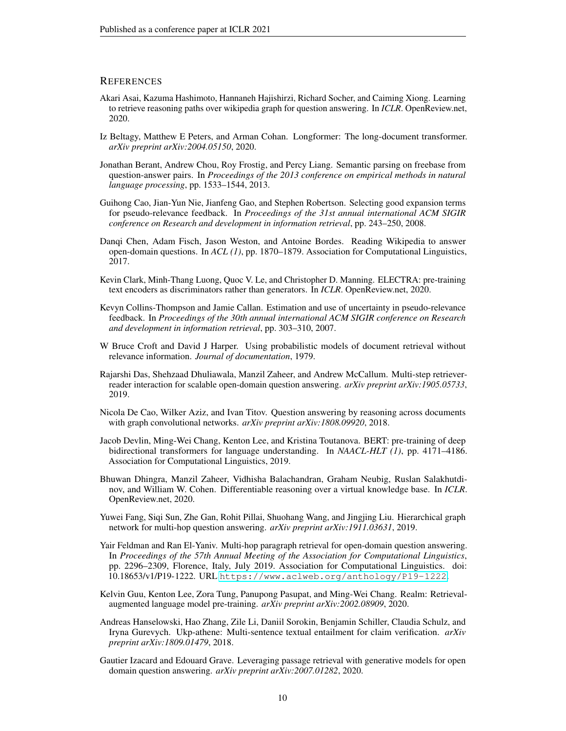### **REFERENCES**

- <span id="page-9-2"></span>Akari Asai, Kazuma Hashimoto, Hannaneh Hajishirzi, Richard Socher, and Caiming Xiong. Learning to retrieve reasoning paths over wikipedia graph for question answering. In *ICLR*. OpenReview.net, 2020.
- <span id="page-9-16"></span>Iz Beltagy, Matthew E Peters, and Arman Cohan. Longformer: The long-document transformer. *arXiv preprint arXiv:2004.05150*, 2020.
- <span id="page-9-9"></span>Jonathan Berant, Andrew Chou, Roy Frostig, and Percy Liang. Semantic parsing on freebase from question-answer pairs. In *Proceedings of the 2013 conference on empirical methods in natural language processing*, pp. 1533–1544, 2013.
- <span id="page-9-13"></span>Guihong Cao, Jian-Yun Nie, Jianfeng Gao, and Stephen Robertson. Selecting good expansion terms for pseudo-relevance feedback. In *Proceedings of the 31st annual international ACM SIGIR conference on Research and development in information retrieval*, pp. 243–250, 2008.
- <span id="page-9-0"></span>Danqi Chen, Adam Fisch, Jason Weston, and Antoine Bordes. Reading Wikipedia to answer open-domain questions. In *ACL (1)*, pp. 1870–1879. Association for Computational Linguistics, 2017.
- <span id="page-9-6"></span>Kevin Clark, Minh-Thang Luong, Quoc V. Le, and Christopher D. Manning. ELECTRA: pre-training text encoders as discriminators rather than generators. In *ICLR*. OpenReview.net, 2020.
- <span id="page-9-14"></span>Kevyn Collins-Thompson and Jamie Callan. Estimation and use of uncertainty in pseudo-relevance feedback. In *Proceedings of the 30th annual international ACM SIGIR conference on Research and development in information retrieval*, pp. 303–310, 2007.
- <span id="page-9-12"></span>W Bruce Croft and David J Harper. Using probabilistic models of document retrieval without relevance information. *Journal of documentation*, 1979.
- <span id="page-9-10"></span>Rajarshi Das, Shehzaad Dhuliawala, Manzil Zaheer, and Andrew McCallum. Multi-step retrieverreader interaction for scalable open-domain question answering. *arXiv preprint arXiv:1905.05733*, 2019.
- <span id="page-9-15"></span>Nicola De Cao, Wilker Aziz, and Ivan Titov. Question answering by reasoning across documents with graph convolutional networks. *arXiv preprint arXiv:1808.09920*, 2018.
- <span id="page-9-5"></span>Jacob Devlin, Ming-Wei Chang, Kenton Lee, and Kristina Toutanova. BERT: pre-training of deep bidirectional transformers for language understanding. In *NAACL-HLT (1)*, pp. 4171–4186. Association for Computational Linguistics, 2019.
- <span id="page-9-3"></span>Bhuwan Dhingra, Manzil Zaheer, Vidhisha Balachandran, Graham Neubig, Ruslan Salakhutdinov, and William W. Cohen. Differentiable reasoning over a virtual knowledge base. In *ICLR*. OpenReview.net, 2020.
- <span id="page-9-8"></span>Yuwei Fang, Siqi Sun, Zhe Gan, Rohit Pillai, Shuohang Wang, and Jingjing Liu. Hierarchical graph network for multi-hop question answering. *arXiv preprint arXiv:1911.03631*, 2019.
- <span id="page-9-11"></span>Yair Feldman and Ran El-Yaniv. Multi-hop paragraph retrieval for open-domain question answering. In *Proceedings of the 57th Annual Meeting of the Association for Computational Linguistics*, pp. 2296–2309, Florence, Italy, July 2019. Association for Computational Linguistics. doi: 10.18653/v1/P19-1222. URL <https://www.aclweb.org/anthology/P19-1222>.
- <span id="page-9-1"></span>Kelvin Guu, Kenton Lee, Zora Tung, Panupong Pasupat, and Ming-Wei Chang. Realm: Retrievalaugmented language model pre-training. *arXiv preprint arXiv:2002.08909*, 2020.
- <span id="page-9-4"></span>Andreas Hanselowski, Hao Zhang, Zile Li, Daniil Sorokin, Benjamin Schiller, Claudia Schulz, and Iryna Gurevych. Ukp-athene: Multi-sentence textual entailment for claim verification. *arXiv preprint arXiv:1809.01479*, 2018.
- <span id="page-9-7"></span>Gautier Izacard and Edouard Grave. Leveraging passage retrieval with generative models for open domain question answering. *arXiv preprint arXiv:2007.01282*, 2020.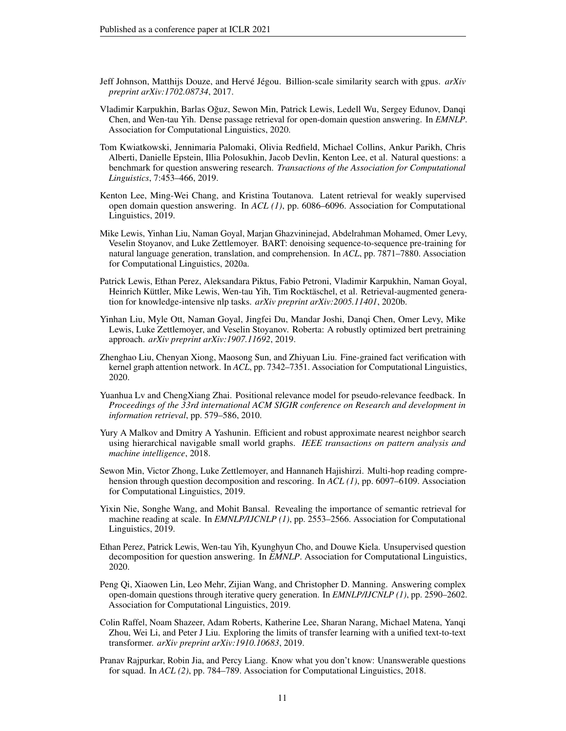- <span id="page-10-7"></span>Jeff Johnson, Matthijs Douze, and Hervé Jégou. Billion-scale similarity search with gpus.  $arXiv$ *preprint arXiv:1702.08734*, 2017.
- <span id="page-10-1"></span>Vladimir Karpukhin, Barlas Oguz, Sewon Min, Patrick Lewis, Ledell Wu, Sergey Edunov, Danqi ˘ Chen, and Wen-tau Yih. Dense passage retrieval for open-domain question answering. In *EMNLP*. Association for Computational Linguistics, 2020.
- <span id="page-10-12"></span>Tom Kwiatkowski, Jennimaria Palomaki, Olivia Redfield, Michael Collins, Ankur Parikh, Chris Alberti, Danielle Epstein, Illia Polosukhin, Jacob Devlin, Kenton Lee, et al. Natural questions: a benchmark for question answering research. *Transactions of the Association for Computational Linguistics*, 7:453–466, 2019.
- <span id="page-10-0"></span>Kenton Lee, Ming-Wei Chang, and Kristina Toutanova. Latent retrieval for weakly supervised open domain question answering. In *ACL (1)*, pp. 6086–6096. Association for Computational Linguistics, 2019.
- <span id="page-10-9"></span>Mike Lewis, Yinhan Liu, Naman Goyal, Marjan Ghazvininejad, Abdelrahman Mohamed, Omer Levy, Veselin Stoyanov, and Luke Zettlemoyer. BART: denoising sequence-to-sequence pre-training for natural language generation, translation, and comprehension. In *ACL*, pp. 7871–7880. Association for Computational Linguistics, 2020a.
- <span id="page-10-8"></span>Patrick Lewis, Ethan Perez, Aleksandara Piktus, Fabio Petroni, Vladimir Karpukhin, Naman Goyal, Heinrich Küttler, Mike Lewis, Wen-tau Yih, Tim Rocktäschel, et al. Retrieval-augmented generation for knowledge-intensive nlp tasks. *arXiv preprint arXiv:2005.11401*, 2020b.
- <span id="page-10-6"></span>Yinhan Liu, Myle Ott, Naman Goyal, Jingfei Du, Mandar Joshi, Danqi Chen, Omer Levy, Mike Lewis, Luke Zettlemoyer, and Veselin Stoyanov. Roberta: A robustly optimized bert pretraining approach. *arXiv preprint arXiv:1907.11692*, 2019.
- <span id="page-10-14"></span>Zhenghao Liu, Chenyan Xiong, Maosong Sun, and Zhiyuan Liu. Fine-grained fact verification with kernel graph attention network. In *ACL*, pp. 7342–7351. Association for Computational Linguistics, 2020.
- <span id="page-10-15"></span>Yuanhua Lv and ChengXiang Zhai. Positional relevance model for pseudo-relevance feedback. In *Proceedings of the 33rd international ACM SIGIR conference on Research and development in information retrieval*, pp. 579–586, 2010.
- <span id="page-10-13"></span>Yury A Malkov and Dmitry A Yashunin. Efficient and robust approximate nearest neighbor search using hierarchical navigable small world graphs. *IEEE transactions on pattern analysis and machine intelligence*, 2018.
- <span id="page-10-4"></span>Sewon Min, Victor Zhong, Luke Zettlemoyer, and Hannaneh Hajishirzi. Multi-hop reading comprehension through question decomposition and rescoring. In *ACL (1)*, pp. 6097–6109. Association for Computational Linguistics, 2019.
- <span id="page-10-3"></span>Yixin Nie, Songhe Wang, and Mohit Bansal. Revealing the importance of semantic retrieval for machine reading at scale. In *EMNLP/IJCNLP (1)*, pp. 2553–2566. Association for Computational Linguistics, 2019.
- <span id="page-10-5"></span>Ethan Perez, Patrick Lewis, Wen-tau Yih, Kyunghyun Cho, and Douwe Kiela. Unsupervised question decomposition for question answering. In *EMNLP*. Association for Computational Linguistics, 2020.
- <span id="page-10-2"></span>Peng Qi, Xiaowen Lin, Leo Mehr, Zijian Wang, and Christopher D. Manning. Answering complex open-domain questions through iterative query generation. In *EMNLP/IJCNLP (1)*, pp. 2590–2602. Association for Computational Linguistics, 2019.
- <span id="page-10-10"></span>Colin Raffel, Noam Shazeer, Adam Roberts, Katherine Lee, Sharan Narang, Michael Matena, Yanqi Zhou, Wei Li, and Peter J Liu. Exploring the limits of transfer learning with a unified text-to-text transformer. *arXiv preprint arXiv:1910.10683*, 2019.
- <span id="page-10-11"></span>Pranav Rajpurkar, Robin Jia, and Percy Liang. Know what you don't know: Unanswerable questions for squad. In *ACL (2)*, pp. 784–789. Association for Computational Linguistics, 2018.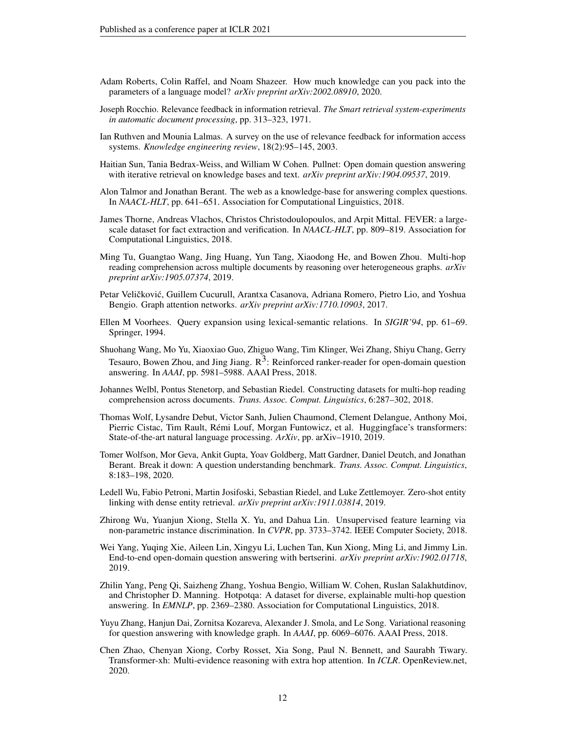- <span id="page-11-10"></span>Adam Roberts, Colin Raffel, and Noam Shazeer. How much knowledge can you pack into the parameters of a language model? *arXiv preprint arXiv:2002.08910*, 2020.
- <span id="page-11-14"></span>Joseph Rocchio. Relevance feedback in information retrieval. *The Smart retrieval system-experiments in automatic document processing*, pp. 313–323, 1971.
- <span id="page-11-16"></span>Ian Ruthven and Mounia Lalmas. A survey on the use of relevance feedback for information access systems. *Knowledge engineering review*, 18(2):95–145, 2003.
- <span id="page-11-17"></span>Haitian Sun, Tania Bedrax-Weiss, and William W Cohen. Pullnet: Open domain question answering with iterative retrieval on knowledge bases and text. *arXiv preprint arXiv:1904.09537*, 2019.
- <span id="page-11-0"></span>Alon Talmor and Jonathan Berant. The web as a knowledge-base for answering complex questions. In *NAACL-HLT*, pp. 641–651. Association for Computational Linguistics, 2018.
- <span id="page-11-4"></span>James Thorne, Andreas Vlachos, Christos Christodoulopoulos, and Arpit Mittal. FEVER: a largescale dataset for fact extraction and verification. In *NAACL-HLT*, pp. 809–819. Association for Computational Linguistics, 2018.
- <span id="page-11-18"></span>Ming Tu, Guangtao Wang, Jing Huang, Yun Tang, Xiaodong He, and Bowen Zhou. Multi-hop reading comprehension across multiple documents by reasoning over heterogeneous graphs. *arXiv preprint arXiv:1905.07374*, 2019.
- <span id="page-11-11"></span>Petar Veličković, Guillem Cucurull, Arantxa Casanova, Adriana Romero, Pietro Lio, and Yoshua Bengio. Graph attention networks. *arXiv preprint arXiv:1710.10903*, 2017.
- <span id="page-11-15"></span>Ellen M Voorhees. Query expansion using lexical-semantic relations. In *SIGIR'94*, pp. 61–69. Springer, 1994.
- <span id="page-11-12"></span>Shuohang Wang, Mo Yu, Xiaoxiao Guo, Zhiguo Wang, Tim Klinger, Wei Zhang, Shiyu Chang, Gerry Tesauro, Bowen Zhou, and Jing Jiang.  $R<sup>3</sup>$ : Reinforced ranker-reader for open-domain question answering. In *AAAI*, pp. 5981–5988. AAAI Press, 2018.
- <span id="page-11-2"></span>Johannes Welbl, Pontus Stenetorp, and Sebastian Riedel. Constructing datasets for multi-hop reading comprehension across documents. *Trans. Assoc. Comput. Linguistics*, 6:287–302, 2018.
- <span id="page-11-7"></span>Thomas Wolf, Lysandre Debut, Victor Sanh, Julien Chaumond, Clement Delangue, Anthony Moi, Pierric Cistac, Tim Rault, Remi Louf, Morgan Funtowicz, et al. Huggingface's transformers: ´ State-of-the-art natural language processing. *ArXiv*, pp. arXiv–1910, 2019.
- <span id="page-11-9"></span>Tomer Wolfson, Mor Geva, Ankit Gupta, Yoav Goldberg, Matt Gardner, Daniel Deutch, and Jonathan Berant. Break it down: A question understanding benchmark. *Trans. Assoc. Comput. Linguistics*, 8:183–198, 2020.
- <span id="page-11-8"></span>Ledell Wu, Fabio Petroni, Martin Josifoski, Sebastian Riedel, and Luke Zettlemoyer. Zero-shot entity linking with dense entity retrieval. *arXiv preprint arXiv:1911.03814*, 2019.
- <span id="page-11-5"></span>Zhirong Wu, Yuanjun Xiong, Stella X. Yu, and Dahua Lin. Unsupervised feature learning via non-parametric instance discrimination. In *CVPR*, pp. 3733–3742. IEEE Computer Society, 2018.
- <span id="page-11-13"></span>Wei Yang, Yuqing Xie, Aileen Lin, Xingyu Li, Luchen Tan, Kun Xiong, Ming Li, and Jimmy Lin. End-to-end open-domain question answering with bertserini. *arXiv preprint arXiv:1902.01718*, 2019.
- <span id="page-11-1"></span>Zhilin Yang, Peng Qi, Saizheng Zhang, Yoshua Bengio, William W. Cohen, Ruslan Salakhutdinov, and Christopher D. Manning. Hotpotqa: A dataset for diverse, explainable multi-hop question answering. In *EMNLP*, pp. 2369–2380. Association for Computational Linguistics, 2018.
- <span id="page-11-6"></span>Yuyu Zhang, Hanjun Dai, Zornitsa Kozareva, Alexander J. Smola, and Le Song. Variational reasoning for question answering with knowledge graph. In *AAAI*, pp. 6069–6076. AAAI Press, 2018.
- <span id="page-11-3"></span>Chen Zhao, Chenyan Xiong, Corby Rosset, Xia Song, Paul N. Bennett, and Saurabh Tiwary. Transformer-xh: Multi-evidence reasoning with extra hop attention. In *ICLR*. OpenReview.net, 2020.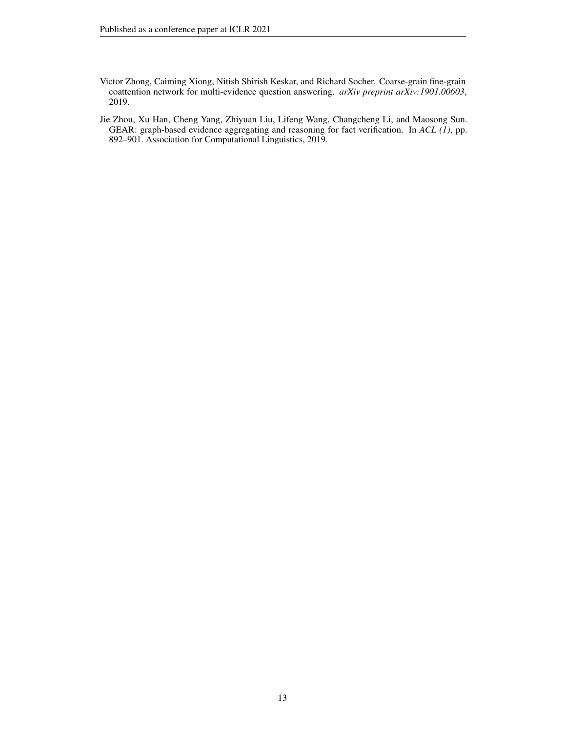- <span id="page-12-1"></span>Victor Zhong, Caiming Xiong, Nitish Shirish Keskar, and Richard Socher. Coarse-grain fine-grain coattention network for multi-evidence question answering. *arXiv preprint arXiv:1901.00603*, 2019.
- <span id="page-12-0"></span>Jie Zhou, Xu Han, Cheng Yang, Zhiyuan Liu, Lifeng Wang, Changcheng Li, and Maosong Sun. GEAR: graph-based evidence aggregating and reasoning for fact verification. In *ACL (1)*, pp. 892–901. Association for Computational Linguistics, 2019.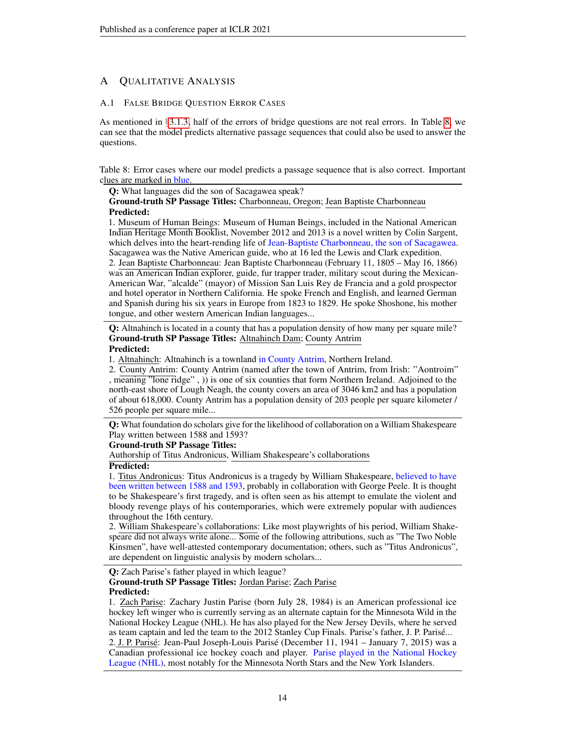# A QUALITATIVE ANALYSIS

# <span id="page-13-0"></span>A.1 FALSE BRIDGE QUESTION ERROR CASES

As mentioned in §[3.1.3,](#page-4-4) half of the errors of bridge questions are not real errors. In Table [8,](#page-13-1) we can see that the model predicts alternative passage sequences that could also be used to answer the questions.

<span id="page-13-1"></span>Table 8: Error cases where our model predicts a passage sequence that is also correct. Important clues are marked in blue.

Q: What languages did the son of Sacagawea speak? Ground-truth SP Passage Titles: Charbonneau, Oregon; Jean Baptiste Charbonneau Predicted:

1. Museum of Human Beings: Museum of Human Beings, included in the National American Indian Heritage Month Booklist, November 2012 and 2013 is a novel written by Colin Sargent, which delves into the heart-rending life of Jean-Baptiste Charbonneau, the son of Sacagawea. Sacagawea was the Native American guide, who at 16 led the Lewis and Clark expedition.

2. Jean Baptiste Charbonneau: Jean Baptiste Charbonneau (February 11, 1805 – May 16, 1866) was an American Indian explorer, guide, fur trapper trader, military scout during the Mexican-American War, "alcalde" (mayor) of Mission San Luis Rey de Francia and a gold prospector and hotel operator in Northern California. He spoke French and English, and learned German and Spanish during his six years in Europe from 1823 to 1829. He spoke Shoshone, his mother tongue, and other western American Indian languages...

Q: Altnahinch is located in a county that has a population density of how many per square mile? Ground-truth SP Passage Titles: Altnahinch Dam; County Antrim

# Predicted:

1. Altnahinch: Altnahinch is a townland in County Antrim, Northern Ireland.

2. County Antrim: County Antrim (named after the town of Antrim, from Irish: "Aontroim" , meaning "lone ridge" , )) is one of six counties that form Northern Ireland. Adjoined to the north-east shore of Lough Neagh, the county covers an area of 3046 km2 and has a population of about 618,000. County Antrim has a population density of 203 people per square kilometer / 526 people per square mile...

Q: What foundation do scholars give for the likelihood of collaboration on a William Shakespeare Play written between 1588 and 1593?

### Ground-truth SP Passage Titles:

Authorship of Titus Andronicus, William Shakespeare's collaborations

# Predicted:

1. Titus Andronicus: Titus Andronicus is a tragedy by William Shakespeare, believed to have been written between 1588 and 1593, probably in collaboration with George Peele. It is thought to be Shakespeare's first tragedy, and is often seen as his attempt to emulate the violent and bloody revenge plays of his contemporaries, which were extremely popular with audiences throughout the 16th century.

2. William Shakespeare's collaborations: Like most playwrights of his period, William Shakespeare did not always write alone... Some of the following attributions, such as "The Two Noble Kinsmen", have well-attested contemporary documentation; others, such as "Titus Andronicus", are dependent on linguistic analysis by modern scholars...

Q: Zach Parise's father played in which league? Ground-truth SP Passage Titles: Jordan Parise; Zach Parise Predicted:

1. Zach Parise: Zachary Justin Parise (born July 28, 1984) is an American professional ice hockey left winger who is currently serving as an alternate captain for the Minnesota Wild in the National Hockey League (NHL). He has also played for the New Jersey Devils, where he served as team captain and led the team to the 2012 Stanley Cup Finals. Parise's father, J. P. Parise... ´ 2. J. P. Parise´: Jean-Paul Joseph-Louis Parise (December 11, 1941 – January 7, 2015) was a ´ Canadian professional ice hockey coach and player. Parise played in the National Hockey League (NHL), most notably for the Minnesota North Stars and the New York Islanders.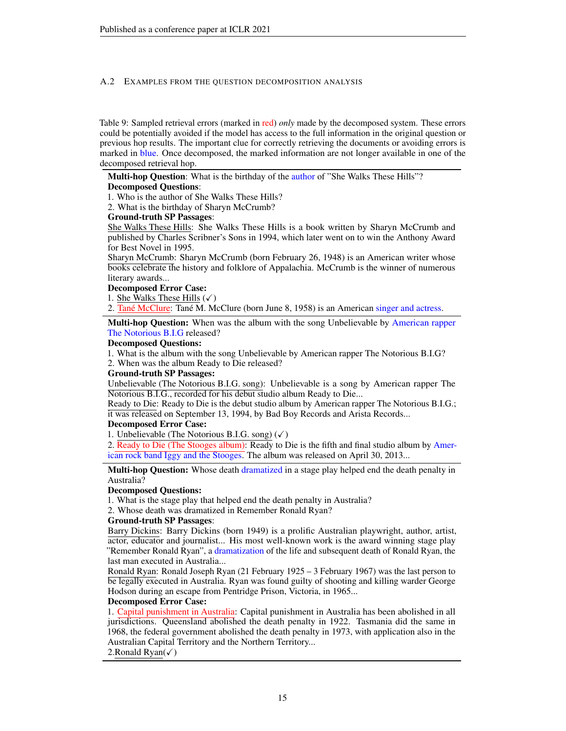#### <span id="page-14-0"></span>A.2 EXAMPLES FROM THE QUESTION DECOMPOSITION ANALYSIS

Table 9: Sampled retrieval errors (marked in red) *only* made by the decomposed system. These errors could be potentially avoided if the model has access to the full information in the original question or previous hop results. The important clue for correctly retrieving the documents or avoiding errors is marked in blue. Once decomposed, the marked information are not longer available in one of the decomposed retrieval hop.

Multi-hop Question: What is the birthday of the author of "She Walks These Hills"? Decomposed Questions:

1. Who is the author of She Walks These Hills?

2. What is the birthday of Sharyn McCrumb?

#### Ground-truth SP Passages:

She Walks These Hills: She Walks These Hills is a book written by Sharyn McCrumb and published by Charles Scribner's Sons in 1994, which later went on to win the Anthony Award for Best Novel in 1995.

Sharyn McCrumb: Sharyn McCrumb (born February 26, 1948) is an American writer whose books celebrate the history and folklore of Appalachia. McCrumb is the winner of numerous literary awards...

#### Decomposed Error Case:

1. She Walks These Hills  $(\checkmark)$ 

2. Tané McClure: Tané M. McClure (born June 8, 1958) is an American singer and actress.

Multi-hop Question: When was the album with the song Unbelievable by American rapper The Notorious B.I.G released?

#### Decomposed Questions:

1. What is the album with the song Unbelievable by American rapper The Notorious B.I.G?

2. When was the album Ready to Die released?

#### Ground-truth SP Passages:

Unbelievable (The Notorious B.I.G. song): Unbelievable is a song by American rapper The Notorious B.I.G., recorded for his debut studio album Ready to Die...

Ready to Die: Ready to Die is the debut studio album by American rapper The Notorious B.I.G.; it was released on September 13, 1994, by Bad Boy Records and Arista Records...

#### Decomposed Error Case:

1. Unbelievable (The Notorious B.I.G. song)  $(\checkmark)$ 

2. Ready to Die (The Stooges album): Ready to Die is the fifth and final studio album by American rock band Iggy and the Stooges. The album was released on April 30, 2013...

**Multi-hop Question:** Whose death dramatized in a stage play helped end the death penalty in Australia?

#### Decomposed Questions:

1. What is the stage play that helped end the death penalty in Australia?

2. Whose death was dramatized in Remember Ronald Ryan?

#### Ground-truth SP Passages:

Barry Dickins: Barry Dickins (born 1949) is a prolific Australian playwright, author, artist, actor, educator and journalist... His most well-known work is the award winning stage play "Remember Ronald Ryan", a dramatization of the life and subsequent death of Ronald Ryan, the last man executed in Australia...

Ronald Ryan: Ronald Joseph Ryan (21 February 1925 – 3 February 1967) was the last person to be legally executed in Australia. Ryan was found guilty of shooting and killing warder George Hodson during an escape from Pentridge Prison, Victoria, in 1965...

#### Decomposed Error Case:

1. Capital punishment in Australia: Capital punishment in Australia has been abolished in all jurisdictions. Queensland abolished the death penalty in 1922. Tasmania did the same in 1968, the federal government abolished the death penalty in 1973, with application also in the Australian Capital Territory and the Northern Territory...

# 2.Ronald  $R$ yan( $\checkmark$ )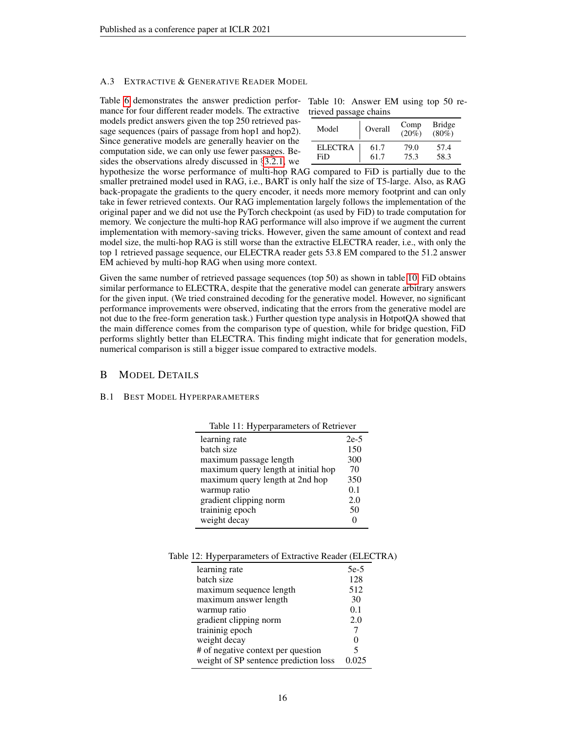#### A.3 EXTRACTIVE & GENERATIVE READER MODEL

Table [6](#page-6-1) demonstrates the answer prediction performance for four different reader models. The extractive models predict answers given the top 250 retrieved passage sequences (pairs of passage from hop1 and hop2). Since generative models are generally heavier on the computation side, we can only use fewer passages. Besides the observations alredy discussed in §[3.2.1,](#page-6-5) we

<span id="page-15-1"></span>

|  | Table 10: Answer EM using top 50 re- |  |  |  |
|--|--------------------------------------|--|--|--|
|  | trieved passage chains               |  |  |  |

| Model          | Overall | Comp<br>$(20\%$ ) | <b>Bridge</b><br>$(80\%)$ |
|----------------|---------|-------------------|---------------------------|
| <b>ELECTRA</b> | 61.7    | 79.0              | 57.4                      |
| FiD            | 61.7    | 75.3              | 58.3                      |

hypothesize the worse performance of multi-hop RAG compared to FiD is partially due to the smaller pretrained model used in RAG, i.e., BART is only half the size of T5-large. Also, as RAG back-propagate the gradients to the query encoder, it needs more memory footprint and can only take in fewer retrieved contexts. Our RAG implementation largely follows the implementation of the original paper and we did not use the PyTorch checkpoint (as used by FiD) to trade computation for memory. We conjecture the multi-hop RAG performance will also improve if we augment the current implementation with memory-saving tricks. However, given the same amount of context and read model size, the multi-hop RAG is still worse than the extractive ELECTRA reader, i.e., with only the top 1 retrieved passage sequence, our ELECTRA reader gets 53.8 EM compared to the 51.2 answer EM achieved by multi-hop RAG when using more context.

Given the same number of retrieved passage sequences (top 50) as shown in table [10,](#page-15-1) FiD obtains similar performance to ELECTRA, despite that the generative model can generate arbitrary answers for the given input. (We tried constrained decoding for the generative model. However, no significant performance improvements were observed, indicating that the errors from the generative model are not due to the free-form generation task.) Further question type analysis in HotpotQA showed that the main difference comes from the comparison type of question, while for bridge question, FiD performs slightly better than ELECTRA. This finding might indicate that for generation models, numerical comparison is still a bigger issue compared to extractive models.

# B MODEL DETAILS

#### <span id="page-15-0"></span>B.1 BEST MODEL HYPERPARAMETERS

| Table 11: Hyperparameters of Retriever |        |  |  |
|----------------------------------------|--------|--|--|
| learning rate                          | $2e-5$ |  |  |
| batch size                             | 150    |  |  |
| maximum passage length                 | 300    |  |  |
| maximum query length at initial hop    | 70     |  |  |
| maximum query length at 2nd hop        | 350    |  |  |
| warmup ratio                           | 0.1    |  |  |
| gradient clipping norm                 | 2.0    |  |  |
| traininig epoch                        | 50     |  |  |
| weight decay                           |        |  |  |

Table 12: Hyperparameters of Extractive Reader (ELECTRA)

| learning rate                         | $5e-5$ |
|---------------------------------------|--------|
| batch size                            | 128    |
| maximum sequence length               | 512    |
| maximum answer length                 | 30     |
| warmup ratio                          | 0.1    |
| gradient clipping norm                | 2.0    |
| traininig epoch                       |        |
| weight decay                          |        |
| # of negative context per question    | 5      |
| weight of SP sentence prediction loss |        |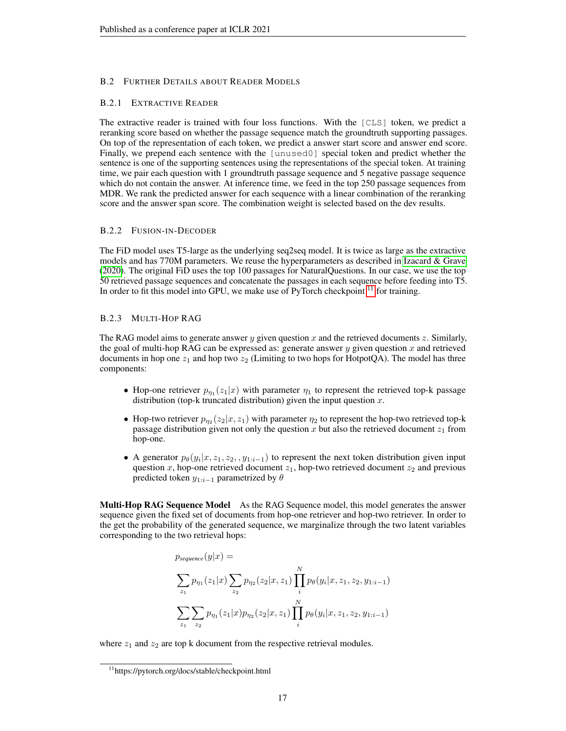### <span id="page-16-0"></span>B.2 FURTHER DETAILS ABOUT READER MODELS

#### B.2.1 EXTRACTIVE READER

The extractive reader is trained with four loss functions. With the [CLS] token, we predict a reranking score based on whether the passage sequence match the groundtruth supporting passages. On top of the representation of each token, we predict a answer start score and answer end score. Finally, we prepend each sentence with the [unused0] special token and predict whether the sentence is one of the supporting sentences using the representations of the special token. At training time, we pair each question with 1 groundtruth passage sequence and 5 negative passage sequence which do not contain the answer. At inference time, we feed in the top 250 passage sequences from MDR. We rank the predicted answer for each sequence with a linear combination of the reranking score and the answer span score. The combination weight is selected based on the dev results.

#### B.2.2 FUSION-IN-DECODER

The FiD model uses T5-large as the underlying seq2seq model. It is twice as large as the extractive models and has 770M parameters. We reuse the hyperparameters as described in [Izacard & Grave](#page-9-7) [\(2020\)](#page-9-7). The original FiD uses the top 100 passages for NaturalQuestions. In our case, we use the top 50 retrieved passage sequences and concatenate the passages in each sequence before feeding into T5. In order to fit this model into GPU, we make use of PyTorch checkpoint  $11$  for training.

#### B.2.3 MULTI-HOP RAG

The RAG model aims to generate answer y given question x and the retrieved documents z. Similarly, the goal of multi-hop RAG can be expressed as: generate answer  $y$  given question  $x$  and retrieved documents in hop one  $z_1$  and hop two  $z_2$  (Limiting to two hops for HotpotQA). The model has three components:

- Hop-one retriever  $p_{\eta_1}(z_1|x)$  with parameter  $\eta_1$  to represent the retrieved top-k passage distribution (top-k truncated distribution) given the input question  $x$ .
- Hop-two retriever  $p_{\eta_2}(z_2|x,z_1)$  with parameter  $\eta_2$  to represent the hop-two retrieved top-k passage distribution given not only the question x but also the retrieved document  $z_1$  from hop-one.
- A generator  $p_{\theta}(y_i|x, z_1, z_2, y_{1:i-1})$  to represent the next token distribution given input question x, hop-one retrieved document  $z_1$ , hop-two retrieved document  $z_2$  and previous predicted token  $y_{1:i-1}$  parametrized by  $\theta$

Multi-Hop RAG Sequence Model As the RAG Sequence model, this model generates the answer sequence given the fixed set of documents from hop-one retriever and hop-two retriever. In order to the get the probability of the generated sequence, we marginalize through the two latent variables corresponding to the two retrieval hops:

$$
p_{sequence}(y|x) = \sum_{z_1} p_{\eta_1}(z_1|x) \sum_{z_2} p_{\eta_2}(z_2|x, z_1) \prod_i^N p_{\theta}(y_i|x, z_1, z_2, y_{1:i-1})
$$
  

$$
\sum_{z_1} \sum_{z_2} p_{\eta_1}(z_1|x) p_{\eta_2}(z_2|x, z_1) \prod_i^N p_{\theta}(y_i|x, z_1, z_2, y_{1:i-1})
$$

where  $z_1$  and  $z_2$  are top k document from the respective retrieval modules.

<span id="page-16-1"></span><sup>11</sup>https://pytorch.org/docs/stable/checkpoint.html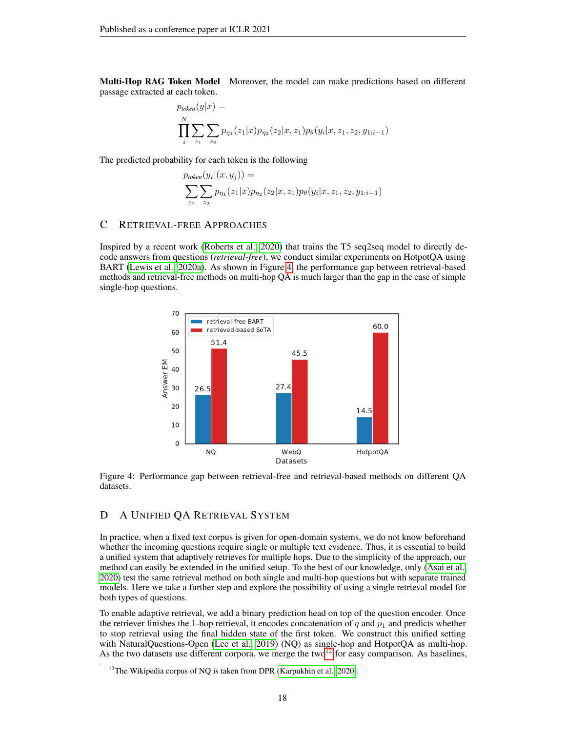Multi-Hop RAG Token Model Moreover, the model can make predictions based on different passage extracted at each token.

$$
p_{token}(y|x) = \prod_{i}^{N} \sum_{z_1} \sum_{z_2} p_{\eta_1}(z_1|x) p_{\eta_2}(z_2|x, z_1) p_{\theta}(y_i|x, z_1, z_2, y_{1:i-1})
$$

The predicted probability for each token is the following

$$
p_{token}(y_i|(x, y_j)) =
$$
  

$$
\sum_{z_1} \sum_{z_2} p_{\eta_1}(z_1|x) p_{\eta_2}(z_2|x, z_1) p_{\theta}(y_i|x, z_1, z_2, y_{1:i-1})
$$

# <span id="page-17-0"></span>C RETRIEVAL-FREE APPROACHES

Inspired by a recent work [\(Roberts et al., 2020\)](#page-11-10) that trains the T5 seq2seq model to directly decode answers from questions (*retrieval-free*), we conduct similar experiments on HotpotQA using BART [\(Lewis et al., 2020a\)](#page-10-9). As shown in Figure [4,](#page-17-1) the performance gap between retrieval-based methods and retrieval-free methods on multi-hop QA is much larger than the gap in the case of simple single-hop questions.

<span id="page-17-1"></span>![](_page_17_Figure_7.jpeg)

Figure 4: Performance gap between retrieval-free and retrieval-based methods on different QA datasets.

# D A UNIFIED QA RETRIEVAL SYSTEM

In practice, when a fixed text corpus is given for open-domain systems, we do not know beforehand whether the incoming questions require single or multiple text evidence. Thus, it is essential to build a unified system that adaptively retrieves for multiple hops. Due to the simplicity of the approach, our method can easily be extended in the unified setup. To the best of our knowledge, only [\(Asai et al.,](#page-9-2) [2020\)](#page-9-2) test the same retrieval method on both single and multi-hop questions but with separate trained models. Here we take a further step and explore the possibility of using a single retrieval model for both types of questions.

To enable adaptive retrieval, we add a binary prediction head on top of the question encoder. Once the retriever finishes the 1-hop retrieval, it encodes concatenation of q and  $p_1$  and predicts whether to stop retrieval using the final hidden state of the first token. We construct this unified setting with NaturalQuestions-Open [\(Lee et al., 2019\)](#page-10-0) (NQ) as single-hop and HotpotQA as multi-hop. As the two datasets use different corpora, we merge the two<sup>[12](#page-17-2)</sup> for easy comparison. As baselines,

<span id="page-17-2"></span><sup>&</sup>lt;sup>12</sup>The Wikipedia corpus of NQ is taken from DPR [\(Karpukhin et al., 2020\)](#page-10-1).